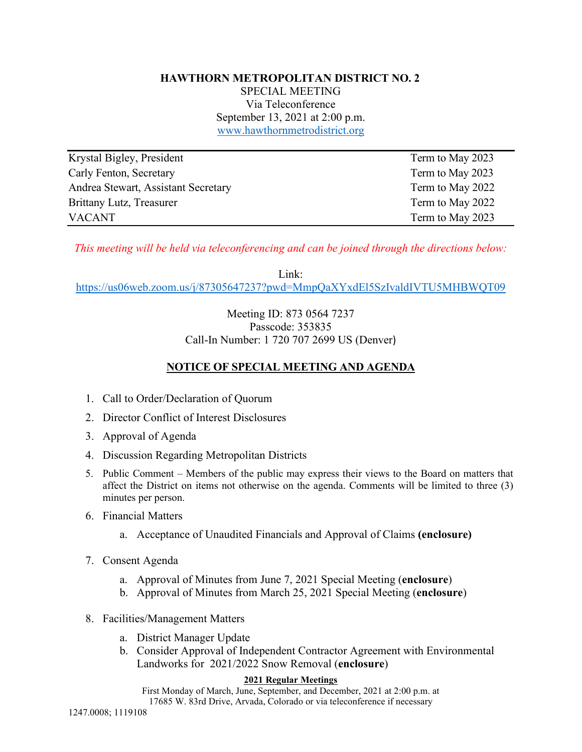# **HAWTHORN METROPOLITAN DISTRICT NO. 2**

SPECIAL MEETING Via Teleconference September 13, 2021 at 2:00 p.m. www.hawthornmetrodistrict.org

| Krystal Bigley, President           | Term to May 2023 |
|-------------------------------------|------------------|
| Carly Fenton, Secretary             | Term to May 2023 |
| Andrea Stewart, Assistant Secretary | Term to May 2022 |
| Brittany Lutz, Treasurer            | Term to May 2022 |
| <b>VACANT</b>                       | Term to May 2023 |

*This meeting will be held via teleconferencing and can be joined through the directions below:*

Link:

https://us06web.zoom.us/j/87305647237?pwd=MmpQaXYxdEl5SzIvaldIVTU5MHBWQT09

### Meeting ID: 873 0564 7237 Passcode: 353835 Call-In Number: 1 720 707 2699 US (Denver)

### **NOTICE OF SPECIAL MEETING AND AGENDA**

- 1. Call to Order/Declaration of Quorum
- 2. Director Conflict of Interest Disclosures
- 3. Approval of Agenda
- 4. Discussion Regarding Metropolitan Districts
- 5. Public Comment Members of the public may express their views to the Board on matters that affect the District on items not otherwise on the agenda. Comments will be limited to three (3) minutes per person.
- 6. Financial Matters
	- a. Acceptance of Unaudited Financials and Approval of Claims **(enclosure)**
- 7. Consent Agenda
	- a. Approval of Minutes from June 7, 2021 Special Meeting (**enclosure**)
	- b. Approval of Minutes from March 25, 2021 Special Meeting (**enclosure**)
- 8. Facilities/Management Matters
	- a. District Manager Update
	- b. Consider Approval of Independent Contractor Agreement with Environmental Landworks for 2021/2022 Snow Removal (**enclosure**)

#### **2021 Regular Meetings**

First Monday of March, June, September, and December, 2021 at 2:00 p.m. at 17685 W. 83rd Drive, Arvada, Colorado or via teleconference if necessary